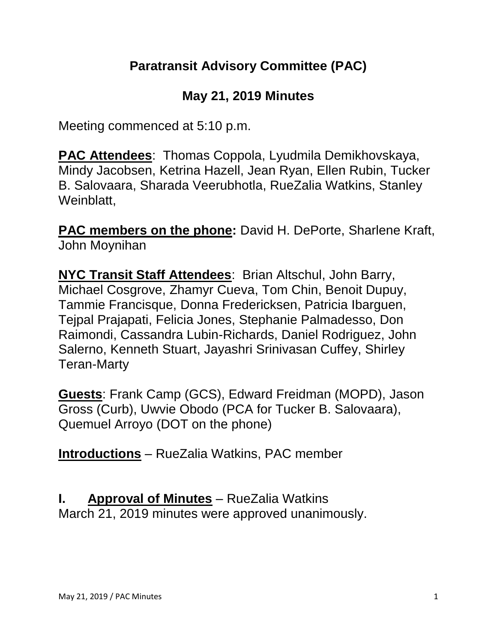#### **Paratransit Advisory Committee (PAC)**

#### **May 21, 2019 Minutes**

Meeting commenced at 5:10 p.m.

**PAC Attendees**: Thomas Coppola, Lyudmila Demikhovskaya, Mindy Jacobsen, Ketrina Hazell, Jean Ryan, Ellen Rubin, Tucker B. Salovaara, Sharada Veerubhotla, RueZalia Watkins, Stanley Weinblatt,

**PAC members on the phone:** David H. DePorte, Sharlene Kraft, John Moynihan

**NYC Transit Staff Attendees**: Brian Altschul, John Barry, Michael Cosgrove, Zhamyr Cueva, Tom Chin, Benoit Dupuy, Tammie Francisque, Donna Fredericksen, Patricia Ibarguen, Tejpal Prajapati, Felicia Jones, Stephanie Palmadesso, Don Raimondi, Cassandra Lubin-Richards, Daniel Rodriguez, John Salerno, Kenneth Stuart, Jayashri Srinivasan Cuffey, Shirley Teran-Marty

**Guests**: Frank Camp (GCS), Edward Freidman (MOPD), Jason Gross (Curb), Uwvie Obodo (PCA for Tucker B. Salovaara), Quemuel Arroyo (DOT on the phone)

**Introductions** – RueZalia Watkins, PAC member

# **I. Approval of Minutes** – RueZalia Watkins

March 21, 2019 minutes were approved unanimously.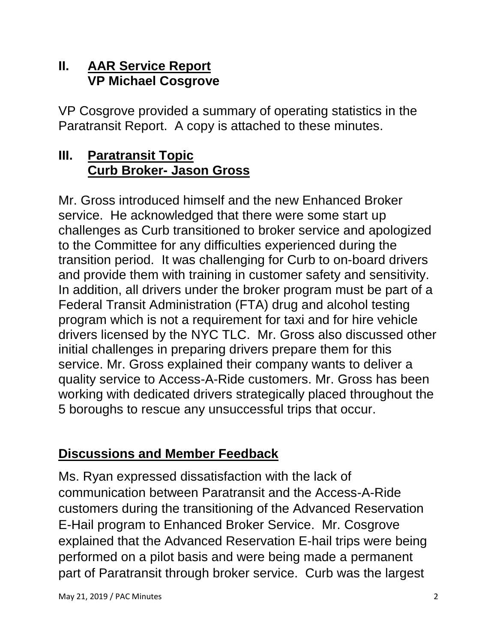#### **II. AAR Service Report VP Michael Cosgrove**

VP Cosgrove provided a summary of operating statistics in the Paratransit Report. A copy is attached to these minutes.

# **III. Paratransit Topic Curb Broker- Jason Gross**

Mr. Gross introduced himself and the new Enhanced Broker service. He acknowledged that there were some start up challenges as Curb transitioned to broker service and apologized to the Committee for any difficulties experienced during the transition period. It was challenging for Curb to on-board drivers and provide them with training in customer safety and sensitivity. In addition, all drivers under the broker program must be part of a Federal Transit Administration (FTA) drug and alcohol testing program which is not a requirement for taxi and for hire vehicle drivers licensed by the NYC TLC. Mr. Gross also discussed other initial challenges in preparing drivers prepare them for this service. Mr. Gross explained their company wants to deliver a quality service to Access-A-Ride customers. Mr. Gross has been working with dedicated drivers strategically placed throughout the 5 boroughs to rescue any unsuccessful trips that occur.

# **Discussions and Member Feedback**

Ms. Ryan expressed dissatisfaction with the lack of communication between Paratransit and the Access-A-Ride customers during the transitioning of the Advanced Reservation E-Hail program to Enhanced Broker Service. Mr. Cosgrove explained that the Advanced Reservation E-hail trips were being performed on a pilot basis and were being made a permanent part of Paratransit through broker service. Curb was the largest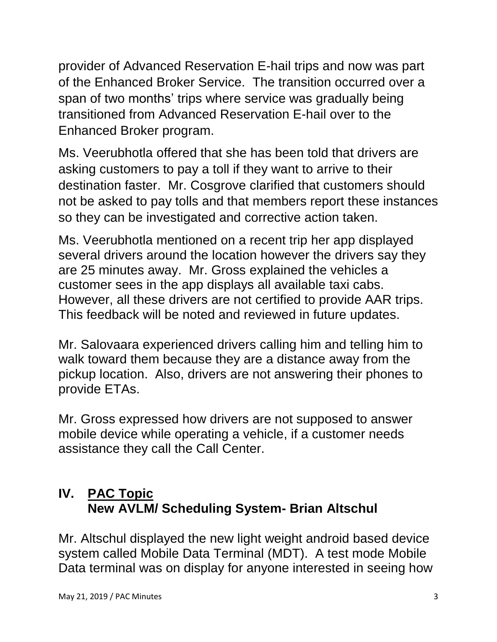provider of Advanced Reservation E-hail trips and now was part of the Enhanced Broker Service. The transition occurred over a span of two months' trips where service was gradually being transitioned from Advanced Reservation E-hail over to the Enhanced Broker program.

Ms. Veerubhotla offered that she has been told that drivers are asking customers to pay a toll if they want to arrive to their destination faster. Mr. Cosgrove clarified that customers should not be asked to pay tolls and that members report these instances so they can be investigated and corrective action taken.

Ms. Veerubhotla mentioned on a recent trip her app displayed several drivers around the location however the drivers say they are 25 minutes away. Mr. Gross explained the vehicles a customer sees in the app displays all available taxi cabs. However, all these drivers are not certified to provide AAR trips. This feedback will be noted and reviewed in future updates.

Mr. Salovaara experienced drivers calling him and telling him to walk toward them because they are a distance away from the pickup location. Also, drivers are not answering their phones to provide ETAs.

Mr. Gross expressed how drivers are not supposed to answer mobile device while operating a vehicle, if a customer needs assistance they call the Call Center.

# **IV. PAC Topic New AVLM/ Scheduling System- Brian Altschul**

Mr. Altschul displayed the new light weight android based device system called Mobile Data Terminal (MDT). A test mode Mobile Data terminal was on display for anyone interested in seeing how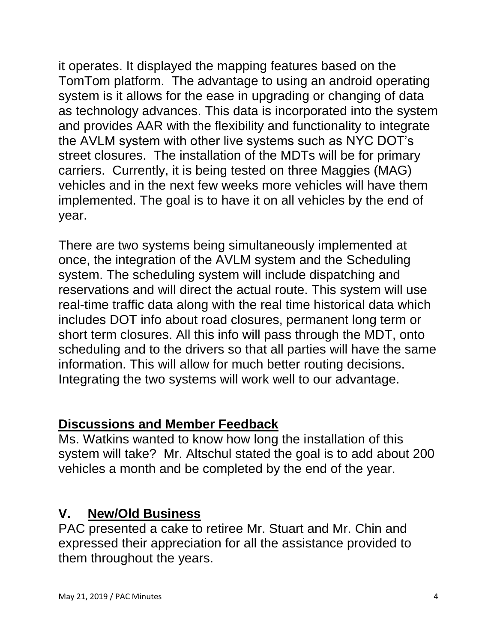it operates. It displayed the mapping features based on the TomTom platform. The advantage to using an android operating system is it allows for the ease in upgrading or changing of data as technology advances. This data is incorporated into the system and provides AAR with the flexibility and functionality to integrate the AVLM system with other live systems such as NYC DOT's street closures. The installation of the MDTs will be for primary carriers. Currently, it is being tested on three Maggies (MAG) vehicles and in the next few weeks more vehicles will have them implemented. The goal is to have it on all vehicles by the end of year.

There are two systems being simultaneously implemented at once, the integration of the AVLM system and the Scheduling system. The scheduling system will include dispatching and reservations and will direct the actual route. This system will use real-time traffic data along with the real time historical data which includes DOT info about road closures, permanent long term or short term closures. All this info will pass through the MDT, onto scheduling and to the drivers so that all parties will have the same information. This will allow for much better routing decisions. Integrating the two systems will work well to our advantage.

# **Discussions and Member Feedback**

Ms. Watkins wanted to know how long the installation of this system will take? Mr. Altschul stated the goal is to add about 200 vehicles a month and be completed by the end of the year.

#### **V. New/Old Business**

PAC presented a cake to retiree Mr. Stuart and Mr. Chin and expressed their appreciation for all the assistance provided to them throughout the years.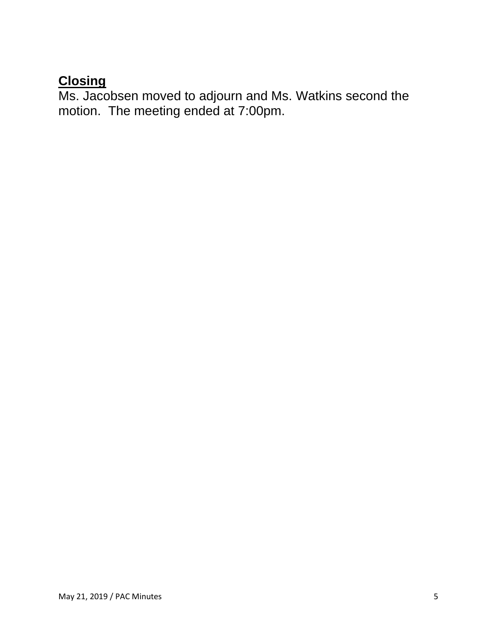#### **Closing**

Ms. Jacobsen moved to adjourn and Ms. Watkins second the motion. The meeting ended at 7:00pm.